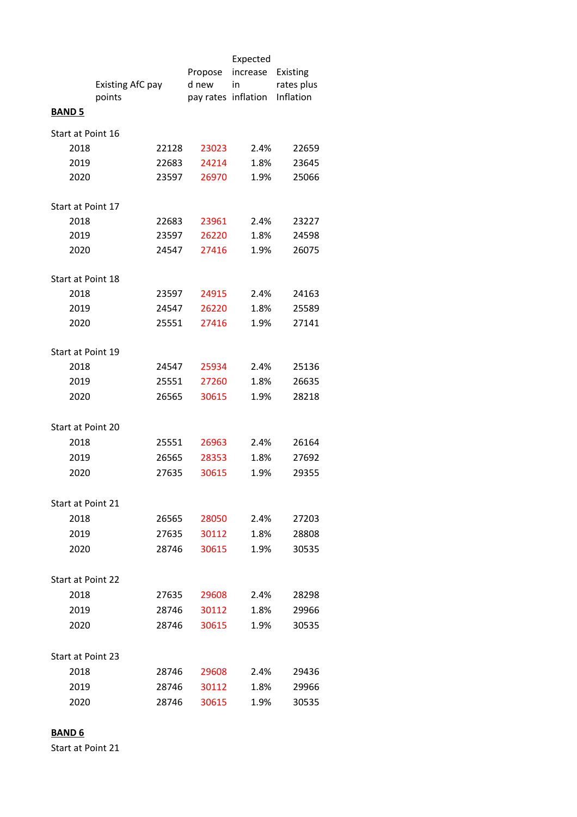|                          |                  |       | Propose | Expected<br>increase | Existing   |  |
|--------------------------|------------------|-------|---------|----------------------|------------|--|
|                          | Existing AfC pay |       | d new   | in                   | rates plus |  |
| <b>BAND 5</b>            | points           |       |         | pay rates inflation  | Inflation  |  |
| Start at Point 16        |                  |       |         |                      |            |  |
| 2018                     |                  | 22128 | 23023   | 2.4%                 | 22659      |  |
| 2019                     |                  | 22683 | 24214   | 1.8%                 | 23645      |  |
| 2020                     |                  | 23597 | 26970   | 1.9%                 | 25066      |  |
| Start at Point 17        |                  |       |         |                      |            |  |
| 2018                     |                  | 22683 | 23961   | 2.4%                 | 23227      |  |
| 2019                     |                  | 23597 | 26220   | 1.8%                 | 24598      |  |
| 2020                     |                  | 24547 | 27416   | 1.9%                 | 26075      |  |
| Start at Point 18        |                  |       |         |                      |            |  |
| 2018                     |                  | 23597 | 24915   | 2.4%                 | 24163      |  |
| 2019                     |                  | 24547 | 26220   | 1.8%                 | 25589      |  |
| 2020                     |                  | 25551 | 27416   | 1.9%                 | 27141      |  |
| Start at Point 19        |                  |       |         |                      |            |  |
| 2018                     |                  | 24547 | 25934   | 2.4%                 | 25136      |  |
| 2019                     |                  | 25551 | 27260   | 1.8%                 | 26635      |  |
| 2020                     |                  | 26565 | 30615   | 1.9%                 | 28218      |  |
| Start at Point 20        |                  |       |         |                      |            |  |
| 2018                     |                  | 25551 | 26963   | 2.4%                 | 26164      |  |
| 2019                     |                  | 26565 | 28353   | 1.8%                 | 27692      |  |
| 2020                     |                  | 27635 | 30615   | 1.9%                 | 29355      |  |
| Start at Point 21        |                  |       |         |                      |            |  |
| 2018                     |                  | 26565 | 28050   | 2.4%                 | 27203      |  |
| 2019                     |                  | 27635 | 30112   | 1.8%                 | 28808      |  |
| 2020                     |                  | 28746 | 30615   | 1.9%                 | 30535      |  |
|                          |                  |       |         |                      |            |  |
| <b>Start at Point 22</b> |                  |       |         |                      |            |  |
| 2018                     |                  | 27635 | 29608   | 2.4%                 | 28298      |  |
| 2019                     |                  | 28746 | 30112   | 1.8%                 | 29966      |  |
| 2020                     |                  | 28746 | 30615   | 1.9%                 | 30535      |  |
| Start at Point 23        |                  |       |         |                      |            |  |
| 2018                     |                  | 28746 | 29608   | 2.4%                 | 29436      |  |
| 2019                     |                  | 28746 | 30112   | 1.8%                 | 29966      |  |
| 2020                     |                  | 28746 | 30615   | 1.9%                 | 30535      |  |
|                          |                  |       |         |                      |            |  |

## **BAND 6**

Start at Point 21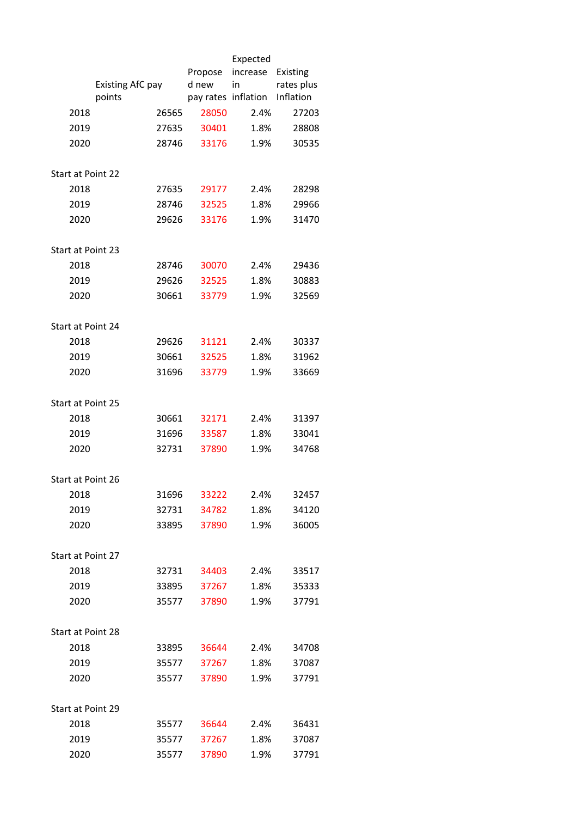|                          |                  |       |         | Expected            |            |
|--------------------------|------------------|-------|---------|---------------------|------------|
|                          |                  |       | Propose | increase            | Existing   |
|                          | Existing AfC pay |       | d new   | in                  | rates plus |
|                          | points           |       |         | pay rates inflation | Inflation  |
| 2018                     |                  | 26565 | 28050   | 2.4%                | 27203      |
| 2019                     |                  | 27635 | 30401   | 1.8%                | 28808      |
| 2020                     |                  | 28746 | 33176   | 1.9%                | 30535      |
|                          |                  |       |         |                     |            |
| <b>Start at Point 22</b> |                  |       |         |                     |            |
| 2018                     |                  | 27635 | 29177   | 2.4%                | 28298      |
| 2019                     |                  | 28746 | 32525   | 1.8%                | 29966      |
| 2020                     |                  | 29626 | 33176   | 1.9%                | 31470      |
|                          |                  |       |         |                     |            |
| Start at Point 23        |                  |       |         |                     |            |
| 2018                     |                  | 28746 | 30070   | 2.4%                | 29436      |
| 2019                     |                  | 29626 | 32525   | 1.8%                | 30883      |
| 2020                     |                  | 30661 | 33779   | 1.9%                | 32569      |
|                          |                  |       |         |                     |            |
| Start at Point 24        |                  |       |         |                     |            |
| 2018                     |                  | 29626 | 31121   | 2.4%                | 30337      |
| 2019                     |                  | 30661 | 32525   | 1.8%                | 31962      |
| 2020                     |                  | 31696 | 33779   | 1.9%                | 33669      |
| Start at Point 25        |                  |       |         |                     |            |
| 2018                     |                  | 30661 | 32171   | 2.4%                | 31397      |
| 2019                     |                  | 31696 | 33587   | 1.8%                | 33041      |
|                          |                  |       |         |                     |            |
| 2020                     |                  | 32731 | 37890   | 1.9%                | 34768      |
| Start at Point 26        |                  |       |         |                     |            |
| 2018                     |                  | 31696 | 33222   | 2.4%                | 32457      |
| 2019                     |                  | 32731 | 34782   | 1.8%                | 34120      |
| 2020                     |                  | 33895 | 37890   | 1.9%                | 36005      |
|                          |                  |       |         |                     |            |
| Start at Point 27        |                  |       |         |                     |            |
| 2018                     |                  | 32731 | 34403   | 2.4%                | 33517      |
| 2019                     |                  | 33895 | 37267   | 1.8%                | 35333      |
| 2020                     |                  | 35577 | 37890   | 1.9%                | 37791      |
|                          |                  |       |         |                     |            |
| Start at Point 28        |                  |       |         |                     |            |
| 2018                     |                  | 33895 | 36644   | 2.4%                | 34708      |
| 2019                     |                  | 35577 | 37267   | 1.8%                | 37087      |
| 2020                     |                  | 35577 | 37890   | 1.9%                | 37791      |
|                          |                  |       |         |                     |            |
| Start at Point 29        |                  |       |         |                     |            |
| 2018                     |                  | 35577 | 36644   | 2.4%                | 36431      |
| 2019                     |                  | 35577 | 37267   | 1.8%                | 37087      |
| 2020                     |                  | 35577 | 37890   | 1.9%                | 37791      |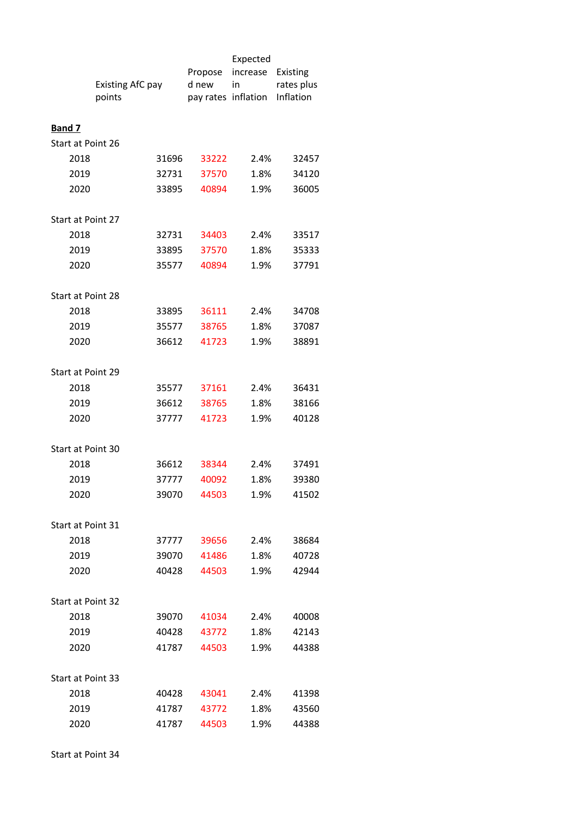|                   |                            |       |                              | Expected |                         |
|-------------------|----------------------------|-------|------------------------------|----------|-------------------------|
|                   | Existing AfC pay<br>points |       | Propose                      | increase | Existing                |
|                   |                            |       | d new<br>pay rates inflation | in       | rates plus<br>Inflation |
|                   |                            |       |                              |          |                         |
| <b>Band 7</b>     |                            |       |                              |          |                         |
| Start at Point 26 |                            |       |                              |          |                         |
| 2018              |                            | 31696 | 33222                        | 2.4%     | 32457                   |
| 2019              |                            | 32731 | 37570                        | 1.8%     | 34120                   |
| 2020              |                            | 33895 | 40894                        | 1.9%     | 36005                   |
|                   |                            |       |                              |          |                         |
| Start at Point 27 |                            |       |                              |          |                         |
| 2018              |                            | 32731 | 34403                        | 2.4%     | 33517                   |
| 2019              |                            | 33895 | 37570                        | 1.8%     | 35333                   |
| 2020              |                            | 35577 | 40894                        | 1.9%     | 37791                   |
|                   |                            |       |                              |          |                         |
| Start at Point 28 |                            |       |                              |          |                         |
| 2018              |                            | 33895 | 36111                        | 2.4%     | 34708                   |
| 2019              |                            | 35577 | 38765                        | 1.8%     | 37087                   |
| 2020              |                            | 36612 | 41723                        | 1.9%     | 38891                   |
|                   |                            |       |                              |          |                         |
| Start at Point 29 |                            |       |                              |          |                         |
| 2018              |                            | 35577 | 37161                        | 2.4%     | 36431                   |
| 2019              |                            | 36612 | 38765                        | 1.8%     | 38166                   |
| 2020              |                            | 37777 | 41723                        | 1.9%     | 40128                   |
|                   |                            |       |                              |          |                         |
| Start at Point 30 |                            |       |                              |          |                         |
| 2018              |                            | 36612 | 38344                        | 2.4%     | 37491                   |
| 2019              |                            | 37777 | 40092                        | 1.8%     | 39380                   |
| 2020              |                            | 39070 | 44503                        | 1.9%     | 41502                   |
|                   |                            |       |                              |          |                         |
| Start at Point 31 |                            |       |                              |          |                         |
| 2018              |                            | 37777 | 39656                        | 2.4%     | 38684                   |
| 2019              |                            | 39070 | 41486                        | 1.8%     | 40728                   |
| 2020              |                            | 40428 | 44503                        | 1.9%     | 42944                   |
|                   |                            |       |                              |          |                         |
| Start at Point 32 |                            |       |                              |          |                         |
| 2018              |                            | 39070 | 41034                        | 2.4%     | 40008                   |
| 2019              |                            | 40428 | 43772                        | 1.8%     | 42143                   |
| 2020              |                            | 41787 | 44503                        | 1.9%     | 44388                   |
|                   |                            |       |                              |          |                         |
| Start at Point 33 |                            |       |                              |          |                         |
| 2018              |                            | 40428 | 43041                        | 2.4%     | 41398                   |
| 2019              |                            | 41787 | 43772                        | 1.8%     | 43560                   |
| 2020              |                            | 41787 | 44503                        | 1.9%     | 44388                   |

Start at Point 34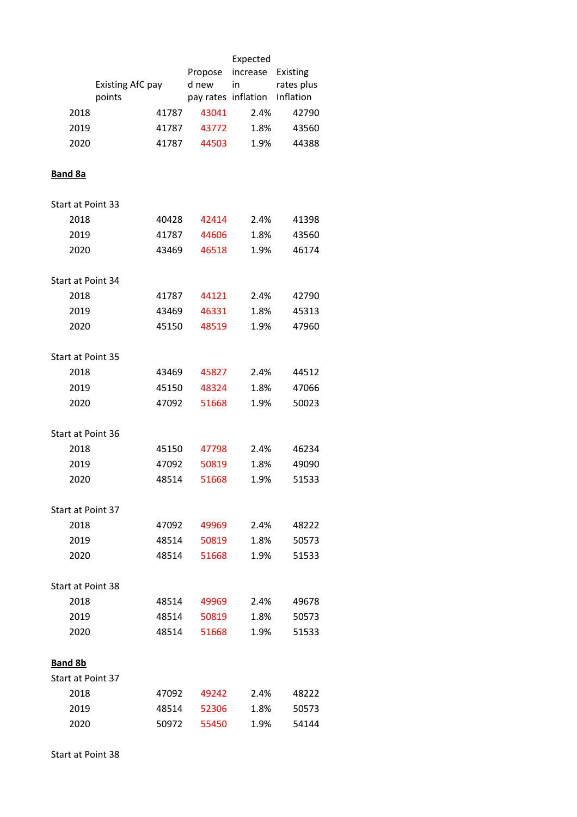|                          |                  |       |         | Expected            |            |
|--------------------------|------------------|-------|---------|---------------------|------------|
|                          |                  |       | Propose | increase            | Existing   |
|                          | Existing AfC pay |       | d new   | in                  | rates plus |
|                          | points           |       |         | pay rates inflation | Inflation  |
| 2018                     |                  | 41787 | 43041   | 2.4%                | 42790      |
| 2019                     |                  | 41787 | 43772   | 1.8%                | 43560      |
| 2020                     |                  | 41787 | 44503   | 1.9%                | 44388      |
| <b>Band 8a</b>           |                  |       |         |                     |            |
| <b>Start at Point 33</b> |                  |       |         |                     |            |
| 2018                     |                  | 40428 | 42414   | 2.4%                | 41398      |
| 2019                     |                  | 41787 | 44606   | 1.8%                | 43560      |
| 2020                     |                  | 43469 | 46518   | 1.9%                | 46174      |
|                          |                  |       |         |                     |            |
| Start at Point 34        |                  |       |         |                     |            |
| 2018                     |                  | 41787 | 44121   | 2.4%                | 42790      |
| 2019                     |                  | 43469 | 46331   | 1.8%                | 45313      |
| 2020                     |                  | 45150 | 48519   | 1.9%                | 47960      |
|                          |                  |       |         |                     |            |
| Start at Point 35        |                  |       |         |                     |            |
| 2018                     |                  | 43469 | 45827   | 2.4%                | 44512      |
| 2019                     |                  | 45150 | 48324   | 1.8%                | 47066      |
| 2020                     |                  | 47092 | 51668   | 1.9%                | 50023      |
| Start at Point 36        |                  |       |         |                     |            |
| 2018                     |                  | 45150 | 47798   | 2.4%                | 46234      |
| 2019                     |                  | 47092 | 50819   | 1.8%                | 49090      |
| 2020                     |                  | 48514 | 51668   | 1.9%                | 51533      |
|                          |                  |       |         |                     |            |
| Start at Point 37        |                  |       |         |                     |            |
| 2018                     |                  | 47092 | 49969   | 2.4%                | 48222      |
| 2019                     |                  | 48514 | 50819   | 1.8%                | 50573      |
| 2020                     |                  | 48514 | 51668   | 1.9%                | 51533      |
|                          |                  |       |         |                     |            |
| Start at Point 38        |                  |       |         |                     |            |
| 2018                     |                  | 48514 | 49969   | 2.4%                | 49678      |
| 2019                     |                  | 48514 | 50819   | 1.8%                | 50573      |
| 2020                     |                  | 48514 | 51668   | 1.9%                | 51533      |
| <b>Band 8b</b>           |                  |       |         |                     |            |
| Start at Point 37        |                  |       |         |                     |            |
| 2018                     |                  | 47092 | 49242   | 2.4%                | 48222      |
| 2019                     |                  | 48514 | 52306   | 1.8%                | 50573      |
| 2020                     |                  | 50972 | 55450   | 1.9%                | 54144      |
|                          |                  |       |         |                     |            |

Start at Point 38